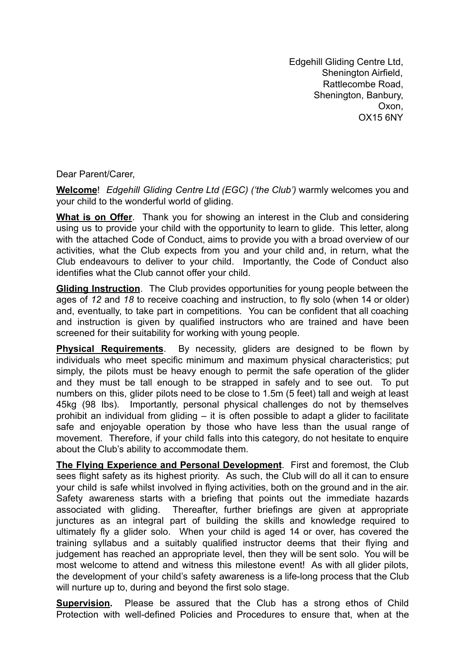Edgehill Gliding Centre Ltd, Shenington Airfield, Rattlecombe Road, Shenington, Banbury, Oxon, OX15 6NY

Dear Parent/Carer,

**Welcome**! *Edgehill Gliding Centre Ltd (EGC) ('the Club')* warmly welcomes you and your child to the wonderful world of gliding.

**What is on Offer**. Thank you for showing an interest in the Club and considering using us to provide your child with the opportunity to learn to glide. This letter, along with the attached Code of Conduct, aims to provide you with a broad overview of our activities, what the Club expects from you and your child and, in return, what the Club endeavours to deliver to your child. Importantly, the Code of Conduct also identifies what the Club cannot offer your child.

**Gliding Instruction**. The Club provides opportunities for young people between the ages of *12* and *18* to receive coaching and instruction, to fly solo (when 14 or older) and, eventually, to take part in competitions*.* You can be confident that all coaching and instruction is given by qualified instructors who are trained and have been screened for their suitability for working with young people.

**Physical Requirements**. By necessity, gliders are designed to be flown by individuals who meet specific minimum and maximum physical characteristics; put simply, the pilots must be heavy enough to permit the safe operation of the glider and they must be tall enough to be strapped in safely and to see out. To put numbers on this, glider pilots need to be close to 1.5m (5 feet) tall and weigh at least 45kg (98 Ibs). Importantly, personal physical challenges do not by themselves prohibit an individual from gliding – it is often possible to adapt a glider to facilitate safe and enjoyable operation by those who have less than the usual range of movement. Therefore, if your child falls into this category, do not hesitate to enquire about the Club's ability to accommodate them.

**The Flying Experience and Personal Development**. First and foremost, the Club sees flight safety as its highest priority. As such, the Club will do all it can to ensure your child is safe whilst involved in flying activities, both on the ground and in the air. Safety awareness starts with a briefing that points out the immediate hazards associated with gliding. Thereafter, further briefings are given at appropriate junctures as an integral part of building the skills and knowledge required to ultimately fly a glider solo. When your child is aged 14 or over, has covered the training syllabus and a suitably qualified instructor deems that their flying and judgement has reached an appropriate level, then they will be sent solo. You will be most welcome to attend and witness this milestone event! As with all glider pilots, the development of your child's safety awareness is a life-long process that the Club will nurture up to, during and beyond the first solo stage.

**Supervision.** Please be assured that the Club has a strong ethos of Child Protection with well-defined Policies and Procedures to ensure that, when at the